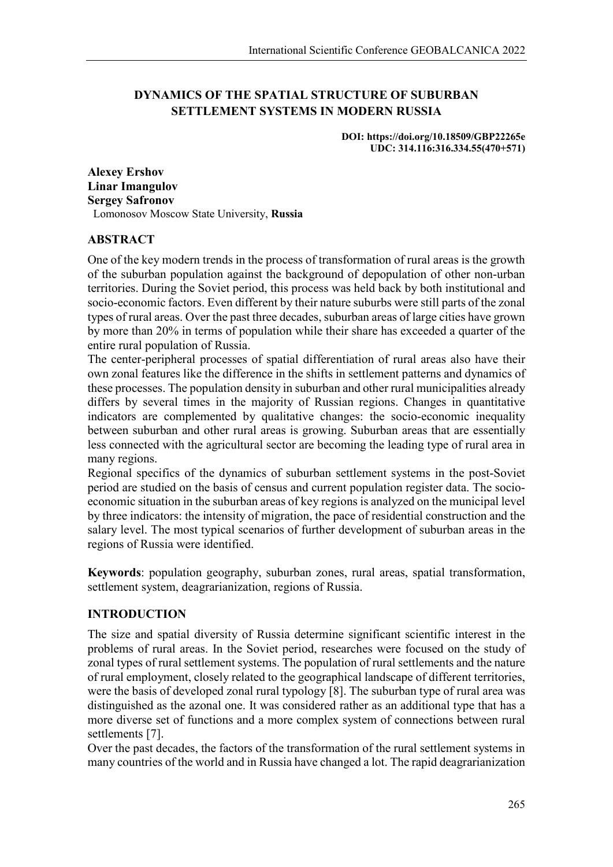# **DYNAMICS OF THE SPATIAL STRUCTURE OF SUBURBAN SETTLEMENT SYSTEMS IN MODERN RUSSIA**

**DOI: https://doi.org/10.18509/GBP22265e UDC: 314.116:316.334.55(470+571)**

**Alexey Ershov Linar Imangulov Sergey Safronov** Lomonosov Moscow State University, **Russia**

### **ABSTRACT**

One of the key modern trends in the process of transformation of rural areas is the growth of the suburban population against the background of depopulation of other non-urban territories. During the Soviet period, this process was held back by both institutional and socio-economic factors. Even different by their nature suburbs were still parts of the zonal types of rural areas. Over the past three decades, suburban areas of large cities have grown by more than 20% in terms of population while their share has exceeded a quarter of the entire rural population of Russia.

The center-peripheral processes of spatial differentiation of rural areas also have their own zonal features like the difference in the shifts in settlement patterns and dynamics of these processes. The population density in suburban and other rural municipalities already differs by several times in the majority of Russian regions. Changes in quantitative indicators are complemented by qualitative changes: the socio-economic inequality between suburban and other rural areas is growing. Suburban areas that are essentially less connected with the agricultural sector are becoming the leading type of rural area in many regions.

Regional specifics of the dynamics of suburban settlement systems in the post-Soviet period are studied on the basis of census and current population register data. The socioeconomic situation in the suburban areas of key regions is analyzed on the municipal level by three indicators: the intensity of migration, the pace of residential construction and the salary level. The most typical scenarios of further development of suburban areas in the regions of Russia were identified.

**Keywords**: population geography, suburban zones, rural areas, spatial transformation, settlement system, deagrarianization, regions of Russia.

## **INTRODUCTION**

The size and spatial diversity of Russia determine significant scientific interest in the problems of rural areas. In the Soviet period, researches were focused on the study of zonal types of rural settlement systems. The population of rural settlements and the nature of rural employment, closely related to the geographical landscape of different territories, were the basis of developed zonal rural typology [8]. The suburban type of rural area was distinguished as the azonal one. It was considered rather as an additional type that has a more diverse set of functions and a more complex system of connections between rural settlements [7].

Over the past decades, the factors of the transformation of the rural settlement systems in many countries of the world and in Russia have changed a lot. The rapid deagrarianization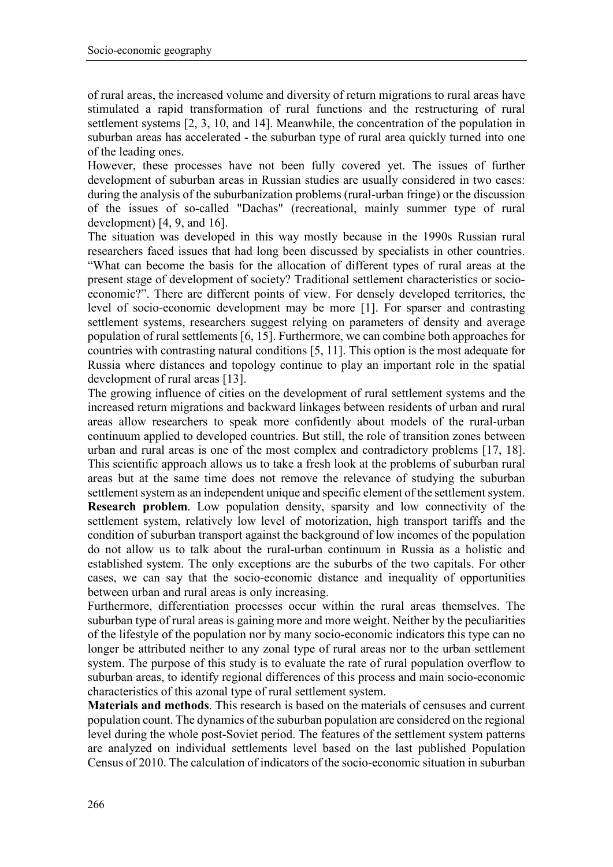of rural areas, the increased volume and diversity of return migrations to rural areas have stimulated a rapid transformation of rural functions and the restructuring of rural settlement systems [2, 3, 10, and 14]. Meanwhile, the concentration of the population in suburban areas has accelerated - the suburban type of rural area quickly turned into one of the leading ones.

However, these processes have not been fully covered yet. The issues of further development of suburban areas in Russian studies are usually considered in two cases: during the analysis of the suburbanization problems (rural-urban fringe) or the discussion of the issues of so-called "Dachas" (recreational, mainly summer type of rural development) [4, 9, and 16].

The situation was developed in this way mostly because in the 1990s Russian rural researchers faced issues that had long been discussed by specialists in other countries. "What can become the basis for the allocation of different types of rural areas at the present stage of development of society? Traditional settlement characteristics or socioeconomic?". There are different points of view. For densely developed territories, the level of socio-economic development may be more [1]. For sparser and contrasting settlement systems, researchers suggest relying on parameters of density and average population of rural settlements [6, 15]. Furthermore, we can combine both approaches for countries with contrasting natural conditions [5, 11]. This option is the most adequate for Russia where distances and topology continue to play an important role in the spatial development of rural areas [13].

The growing influence of cities on the development of rural settlement systems and the increased return migrations and backward linkages between residents of urban and rural areas allow researchers to speak more confidently about models of the rural-urban continuum applied to developed countries. But still, the role of transition zones between urban and rural areas is one of the most complex and contradictory problems [17, 18]. This scientific approach allows us to take a fresh look at the problems of suburban rural areas but at the same time does not remove the relevance of studying the suburban settlement system as an independent unique and specific element of the settlement system. **Research problem**. Low population density, sparsity and low connectivity of the settlement system, relatively low level of motorization, high transport tariffs and the condition of suburban transport against the background of low incomes of the population do not allow us to talk about the rural-urban continuum in Russia as a holistic and established system. The only exceptions are the suburbs of the two capitals. For other cases, we can say that the socio-economic distance and inequality of opportunities between urban and rural areas is only increasing.

Furthermore, differentiation processes occur within the rural areas themselves. The suburban type of rural areas is gaining more and more weight. Neither by the peculiarities of the lifestyle of the population nor by many socio-economic indicators this type can no longer be attributed neither to any zonal type of rural areas nor to the urban settlement system. The purpose of this study is to evaluate the rate of rural population overflow to suburban areas, to identify regional differences of this process and main socio-economic characteristics of this azonal type of rural settlement system.

**Materials and methods**. This research is based on the materials of censuses and current population count. The dynamics of the suburban population are considered on the regional level during the whole post-Soviet period. The features of the settlement system patterns are analyzed on individual settlements level based on the last published Population Census of 2010. The calculation of indicators of the socio-economic situation in suburban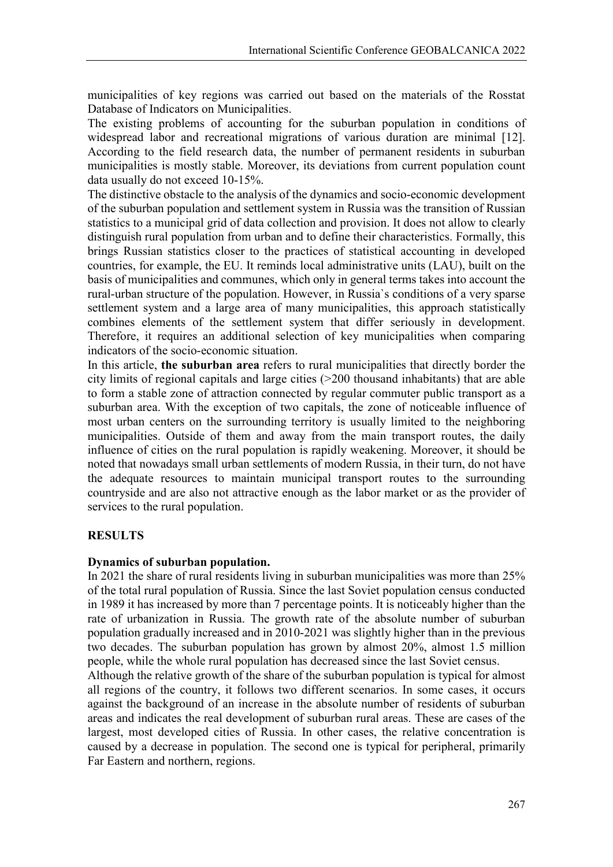municipalities of key regions was carried out based on the materials of the Rosstat Database of Indicators on Municipalities.

The existing problems of accounting for the suburban population in conditions of widespread labor and recreational migrations of various duration are minimal [12]. According to the field research data, the number of permanent residents in suburban municipalities is mostly stable. Moreover, its deviations from current population count data usually do not exceed 10-15%.

The distinctive obstacle to the analysis of the dynamics and socio-economic development of the suburban population and settlement system in Russia was the transition of Russian statistics to a municipal grid of data collection and provision. It does not allow to clearly distinguish rural population from urban and to define their characteristics. Formally, this brings Russian statistics closer to the practices of statistical accounting in developed countries, for example, the EU. It reminds local administrative units (LAU), built on the basis of municipalities and communes, which only in general terms takes into account the rural-urban structure of the population. However, in Russia`s conditions of a very sparse settlement system and a large area of many municipalities, this approach statistically combines elements of the settlement system that differ seriously in development. Therefore, it requires an additional selection of key municipalities when comparing indicators of the socio-economic situation.

In this article, **the suburban area** refers to rural municipalities that directly border the city limits of regional capitals and large cities (>200 thousand inhabitants) that are able to form a stable zone of attraction connected by regular commuter public transport as a suburban area. With the exception of two capitals, the zone of noticeable influence of most urban centers on the surrounding territory is usually limited to the neighboring municipalities. Outside of them and away from the main transport routes, the daily influence of cities on the rural population is rapidly weakening. Moreover, it should be noted that nowadays small urban settlements of modern Russia, in their turn, do not have the adequate resources to maintain municipal transport routes to the surrounding countryside and are also not attractive enough as the labor market or as the provider of services to the rural population.

## **RESULTS**

#### **Dynamics of suburban population.**

In 2021 the share of rural residents living in suburban municipalities was more than 25% of the total rural population of Russia. Since the last Soviet population census conducted in 1989 it has increased by more than 7 percentage points. It is noticeably higher than the rate of urbanization in Russia. The growth rate of the absolute number of suburban population gradually increased and in 2010-2021 was slightly higher than in the previous two decades. The suburban population has grown by almost 20%, almost 1.5 million people, while the whole rural population has decreased since the last Soviet census.

Although the relative growth of the share of the suburban population is typical for almost all regions of the country, it follows two different scenarios. In some cases, it occurs against the background of an increase in the absolute number of residents of suburban areas and indicates the real development of suburban rural areas. These are cases of the largest, most developed cities of Russia. In other cases, the relative concentration is caused by a decrease in population. The second one is typical for peripheral, primarily Far Eastern and northern, regions.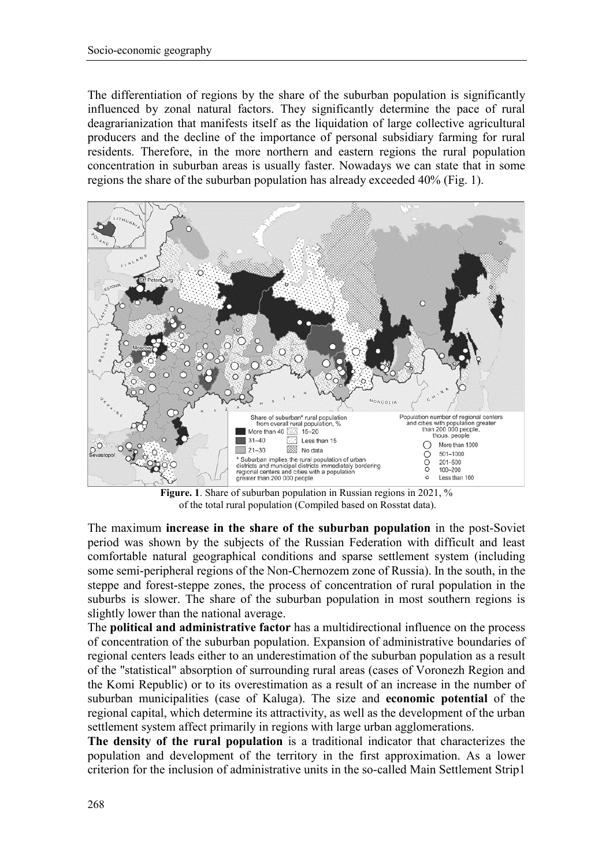The differentiation of regions by the share of the suburban population is significantly influenced by zonal natural factors. They significantly determine the pace of rural deagrarianization that manifests itself as the liquidation of large collective agricultural producers and the decline of the importance of personal subsidiary farming for rural residents. Therefore, in the more northern and eastern regions the rural population concentration in suburban areas is usually faster. Nowadays we can state that in some regions the share of the suburban population has already exceeded 40% (Fig. 1).



**Figure. 1**. Share of suburban population in Russian regions in 2021, % of the total rural population (Compiled based on Rosstat data).

The maximum **increase in the share of the suburban population** in the post-Soviet period was shown by the subjects of the Russian Federation with difficult and least comfortable natural geographical conditions and sparse settlement system (including some semi-peripheral regions of the Non-Chernozem zone of Russia). In the south, in the steppe and forest-steppe zones, the process of concentration of rural population in the suburbs is slower. The share of the suburban population in most southern regions is slightly lower than the national average.

The **political and administrative factor** has a multidirectional influence on the process of concentration of the suburban population. Expansion of administrative boundaries of regional centers leads either to an underestimation of the suburban population as a result of the "statistical" absorption of surrounding rural areas (cases of Voronezh Region and the Komi Republic) or to its overestimation as a result of an increase in the number of suburban municipalities (case of Kaluga). The size and **economic potential** of the regional capital, which determine its attractivity, as well as the development of the urban settlement system affect primarily in regions with large urban agglomerations.

**The density of the rural population** is a traditional indicator that characterizes the population and development of the territory in the first approximation. As a lower criterion for the inclusion of administrative units in the so-called Main Settlement Strip1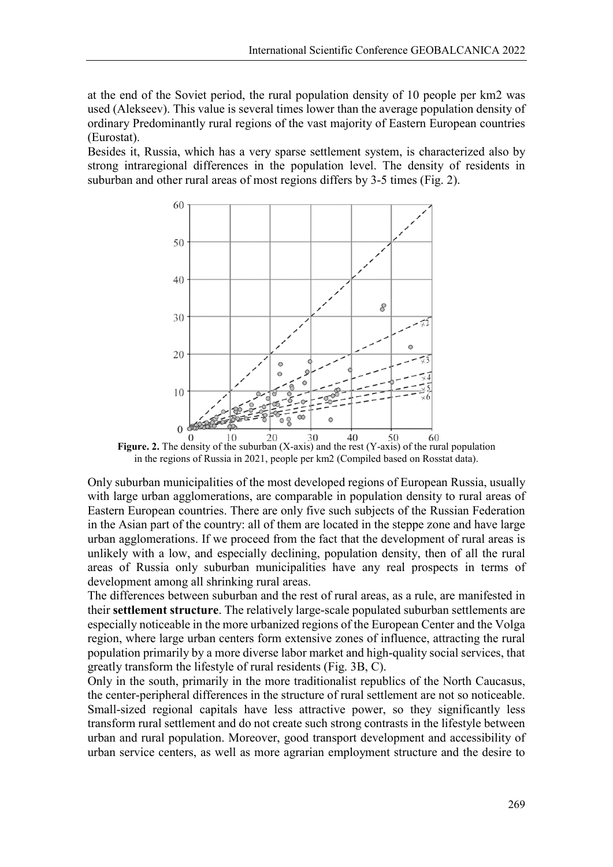at the end of the Soviet period, the rural population density of 10 people per km2 was used (Alekseev). This value is several times lower than the average population density of ordinary Predominantly rural regions of the vast majority of Eastern European countries (Eurostat).

Besides it, Russia, which has a very sparse settlement system, is characterized also by strong intraregional differences in the population level. The density of residents in suburban and other rural areas of most regions differs by 3-5 times (Fig. 2).



Figure. 2. The density of the suburban (X-axis) and the rest (Y-axis) of the rural population in the regions of Russia in 2021, people per km2 (Compiled based on Rosstat data).

Only suburban municipalities of the most developed regions of European Russia, usually with large urban agglomerations, are comparable in population density to rural areas of Eastern European countries. There are only five such subjects of the Russian Federation in the Asian part of the country: all of them are located in the steppe zone and have large urban agglomerations. If we proceed from the fact that the development of rural areas is unlikely with a low, and especially declining, population density, then of all the rural areas of Russia only suburban municipalities have any real prospects in terms of development among all shrinking rural areas.

The differences between suburban and the rest of rural areas, as a rule, are manifested in their **settlement structure**. The relatively large-scale populated suburban settlements are especially noticeable in the more urbanized regions of the European Center and the Volga region, where large urban centers form extensive zones of influence, attracting the rural population primarily by a more diverse labor market and high-quality social services, that greatly transform the lifestyle of rural residents (Fig. 3B, C).

Only in the south, primarily in the more traditionalist republics of the North Caucasus, the center-peripheral differences in the structure of rural settlement are not so noticeable. Small-sized regional capitals have less attractive power, so they significantly less transform rural settlement and do not create such strong contrasts in the lifestyle between urban and rural population. Moreover, good transport development and accessibility of urban service centers, as well as more agrarian employment structure and the desire to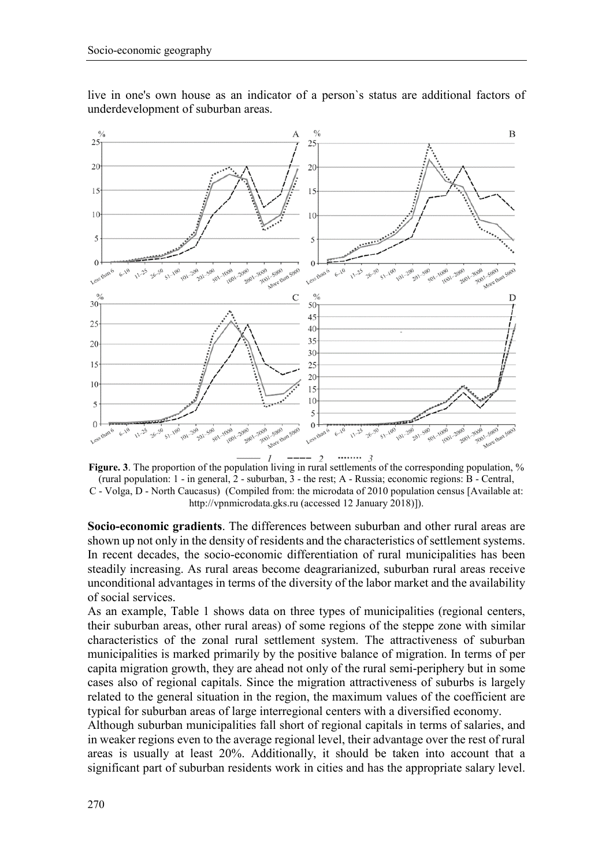

live in one's own house as an indicator of a person`s status are additional factors of underdevelopment of suburban areas.



**Figure. 3**. The proportion of the population living in rural settlements of the corresponding population, % (rural population: 1 - in general, 2 - suburban, 3 - the rest; A - Russia; economic regions: B - Central, C - Volga, D - North Caucasus) (Compiled from: the microdata of 2010 population census [Available at: http://vpnmicrodata.gks.ru (accessed 12 January 2018)]).

**Socio-economic gradients**. The differences between suburban and other rural areas are shown up not only in the density of residents and the characteristics of settlement systems. In recent decades, the socio-economic differentiation of rural municipalities has been steadily increasing. As rural areas become deagrarianized, suburban rural areas receive unconditional advantages in terms of the diversity of the labor market and the availability of social services.

As an example, Table 1 shows data on three types of municipalities (regional centers, their suburban areas, other rural areas) of some regions of the steppe zone with similar characteristics of the zonal rural settlement system. The attractiveness of suburban municipalities is marked primarily by the positive balance of migration. In terms of per capita migration growth, they are ahead not only of the rural semi-periphery but in some cases also of regional capitals. Since the migration attractiveness of suburbs is largely related to the general situation in the region, the maximum values of the coefficient are typical for suburban areas of large interregional centers with a diversified economy.

Although suburban municipalities fall short of regional capitals in terms of salaries, and in weaker regions even to the average regional level, their advantage over the rest of rural areas is usually at least 20%. Additionally, it should be taken into account that a significant part of suburban residents work in cities and has the appropriate salary level.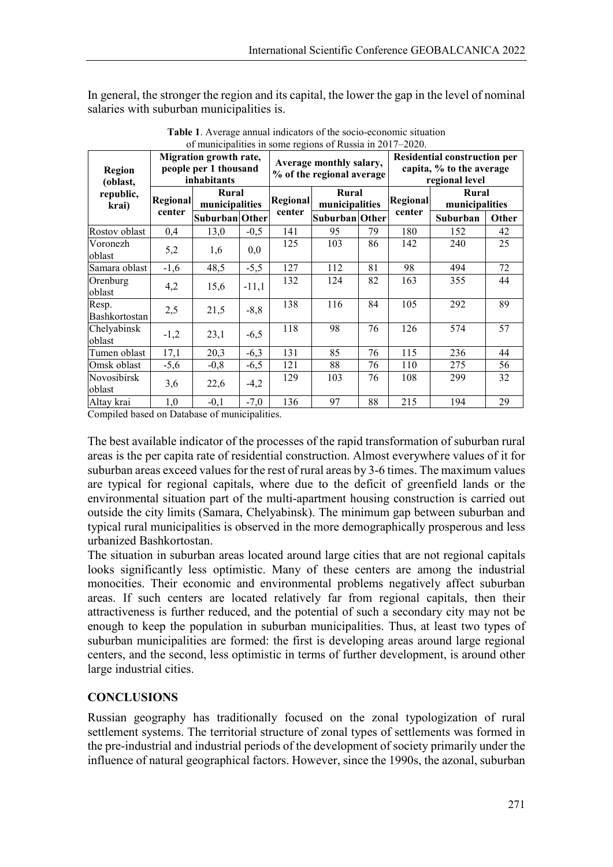In general, the stronger the region and its capital, the lower the gap in the level of nominal salaries with suburban municipalities is.

| <b>Region</b><br>(oblast,<br>republic,<br>krai) | Migration growth rate,<br>people per 1 thousand<br>inhabitants |                         |         | 01 mancipanues in some regions of reassia in 2017–2020.<br>Average monthly salary,<br>% of the regional average |                         |    | <b>Residential construction per</b><br>capita, % to the average<br>regional level |                         |       |
|-------------------------------------------------|----------------------------------------------------------------|-------------------------|---------|-----------------------------------------------------------------------------------------------------------------|-------------------------|----|-----------------------------------------------------------------------------------|-------------------------|-------|
|                                                 | Regional<br>center                                             | Rural<br>municipalities |         | Regional                                                                                                        | Rural<br>municipalities |    | <b>Regional</b>                                                                   | Rural<br>municipalities |       |
|                                                 |                                                                | Suburban Other          |         | center                                                                                                          | Suburban Other          |    | center                                                                            | Suburban                | Other |
| Rostov oblast                                   | 0,4                                                            | 13,0                    | $-0,5$  | 141                                                                                                             | 95                      | 79 | 180                                                                               | 152                     | 42    |
| Voronezh<br>oblast                              | 5,2                                                            | 1,6                     | 0,0     | 125                                                                                                             | 103                     | 86 | 142                                                                               | 240                     | 25    |
| Samara oblast                                   | $-1,6$                                                         | 48,5                    | $-5,5$  | 127                                                                                                             | 112                     | 81 | 98                                                                                | 494                     | 72    |
| Orenburg<br>oblast                              | 4,2                                                            | 15,6                    | $-11,1$ | 132                                                                                                             | 124                     | 82 | 163                                                                               | 355                     | 44    |
| Resp.<br>Bashkortostan                          | 2,5                                                            | 21,5                    | $-8, 8$ | 138                                                                                                             | 116                     | 84 | 105                                                                               | 292                     | 89    |
| Chelyabinsk<br>oblast                           | $-1,2$                                                         | 23,1                    | $-6,5$  | 118                                                                                                             | 98                      | 76 | 126                                                                               | 574                     | 57    |
| Tumen oblast                                    | 17,1                                                           | 20,3                    | $-6,3$  | 131                                                                                                             | 85                      | 76 | 115                                                                               | 236                     | 44    |
| Omsk oblast                                     | $-5,6$                                                         | $-0,8$                  | $-6,5$  | 121                                                                                                             | 88                      | 76 | 110                                                                               | 275                     | 56    |
| Novosibirsk<br>oblast                           | 3,6                                                            | 22,6                    | $-4,2$  | 129                                                                                                             | 103                     | 76 | 108                                                                               | 299                     | 32    |
| Altay krai                                      | 1,0                                                            | $-0,1$                  | $-7,0$  | 136                                                                                                             | 97                      | 88 | 215                                                                               | 194                     | 29    |

**Table 1**. Average annual indicators of the socio-economic situation of municipalities in some regions of Russia in 2017–2020.

Compiled based on Database of municipalities.

The best available indicator of the processes of the rapid transformation of suburban rural areas is the per capita rate of residential construction. Almost everywhere values of it for suburban areas exceed values for the rest of rural areas by 3-6 times. The maximum values are typical for regional capitals, where due to the deficit of greenfield lands or the environmental situation part of the multi-apartment housing construction is carried out outside the city limits (Samara, Chelyabinsk). The minimum gap between suburban and typical rural municipalities is observed in the more demographically prosperous and less urbanized Bashkortostan.

The situation in suburban areas located around large cities that are not regional capitals looks significantly less optimistic. Many of these centers are among the industrial monocities. Their economic and environmental problems negatively affect suburban areas. If such centers are located relatively far from regional capitals, then their attractiveness is further reduced, and the potential of such a secondary city may not be enough to keep the population in suburban municipalities. Thus, at least two types of suburban municipalities are formed: the first is developing areas around large regional centers, and the second, less optimistic in terms of further development, is around other large industrial cities.

# **CONCLUSIONS**

Russian geography has traditionally focused on the zonal typologization of rural settlement systems. The territorial structure of zonal types of settlements was formed in the pre-industrial and industrial periods of the development of society primarily under the influence of natural geographical factors. However, since the 1990s, the azonal, suburban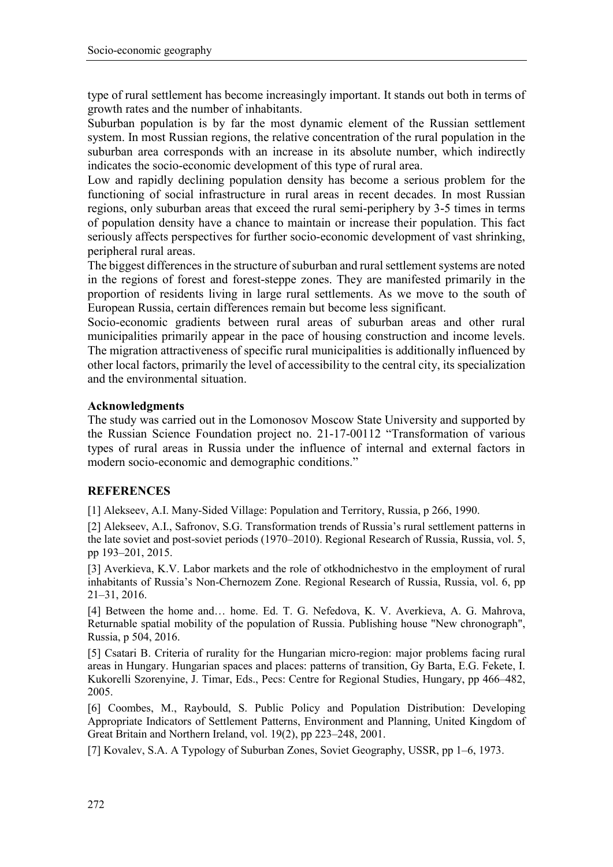type of rural settlement has become increasingly important. It stands out both in terms of growth rates and the number of inhabitants.

Suburban population is by far the most dynamic element of the Russian settlement system. In most Russian regions, the relative concentration of the rural population in the suburban area corresponds with an increase in its absolute number, which indirectly indicates the socio-economic development of this type of rural area.

Low and rapidly declining population density has become a serious problem for the functioning of social infrastructure in rural areas in recent decades. In most Russian regions, only suburban areas that exceed the rural semi-periphery by 3-5 times in terms of population density have a chance to maintain or increase their population. This fact seriously affects perspectives for further socio-economic development of vast shrinking, peripheral rural areas.

The biggest differences in the structure of suburban and rural settlement systems are noted in the regions of forest and forest-steppe zones. They are manifested primarily in the proportion of residents living in large rural settlements. As we move to the south of European Russia, certain differences remain but become less significant.

Socio-economic gradients between rural areas of suburban areas and other rural municipalities primarily appear in the pace of housing construction and income levels. The migration attractiveness of specific rural municipalities is additionally influenced by other local factors, primarily the level of accessibility to the central city, its specialization and the environmental situation.

### **Acknowledgments**

The study was carried out in the Lomonosov Moscow State University and supported by the Russian Science Foundation project no. 21-17-00112 "Transformation of various types of rural areas in Russia under the influence of internal and external factors in modern socio-economic and demographic conditions."

#### **REFERENCES**

[1] Alekseev, A.I. Many-Sided Village: Population and Territory, Russia, p 266, 1990.

[2] Alekseev, A.I., Safronov, S.G. Transformation trends of Russia's rural settlement patterns in the late soviet and post-soviet periods (1970–2010). Regional Research of Russia, Russia, vol. 5, pp 193–201, 2015.

[3] Averkieva, K.V. Labor markets and the role of otkhodnichestvo in the employment of rural inhabitants of Russia's Non-Chernozem Zone. Regional Research of Russia, Russia, vol. 6, pp 21–31, 2016.

[4] Between the home and… home. Ed. T. G. Nefedova, K. V. Averkieva, A. G. Mahrova, Returnable spatial mobility of the population of Russia. Publishing house "New chronograph", Russia, p 504, 2016.

[5] Csatari B. Criteria of rurality for the Hungarian micro-region: major problems facing rural areas in Hungary. Hungarian spaces and places: patterns of transition, Gy Barta, E.G. Fekete, I. Kukorelli Szorenyine, J. Timar, Eds., Pecs: Centre for Regional Studies, Hungary, pp 466–482, 2005.

[6] Coombes, M., Raybould, S. Public Policy and Population Distribution: Developing Appropriate Indicators of Settlement Patterns, Environment and Planning, United Kingdom of Great Britain and Northern Ireland, vol. 19(2), pp 223–248, 2001.

[7] Kovalev, S.A. A Typology of Suburban Zones, Soviet Geography, USSR, pp 1–6, 1973.